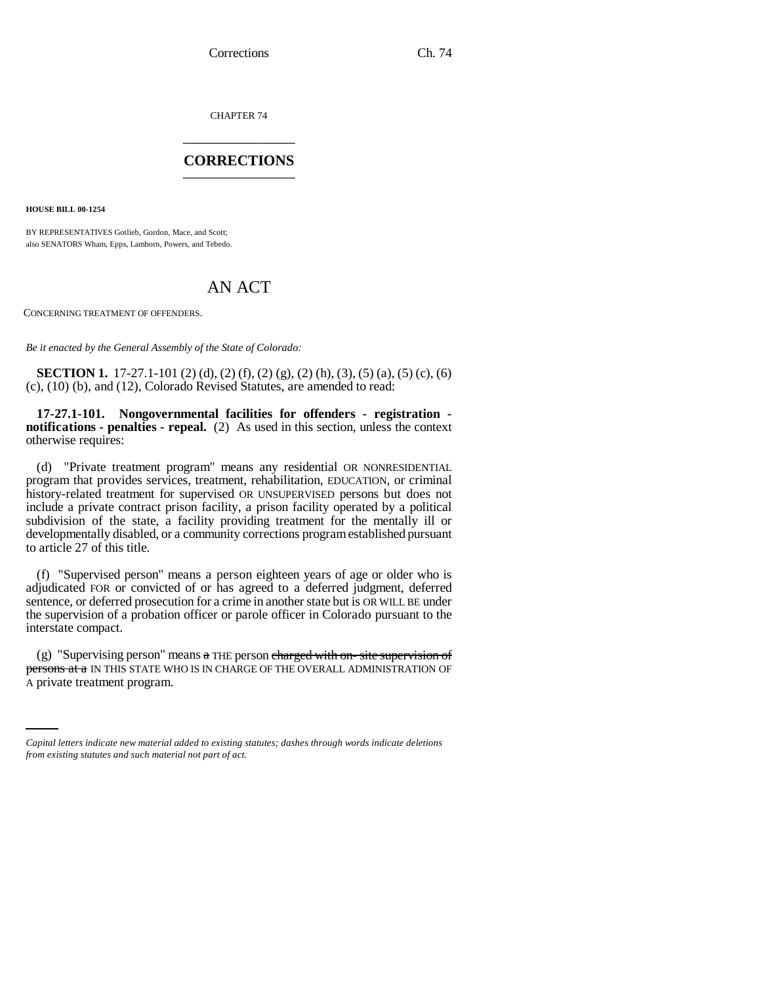CHAPTER 74 \_\_\_\_\_\_\_\_\_\_\_\_\_\_\_

### **CORRECTIONS** \_\_\_\_\_\_\_\_\_\_\_\_\_\_\_

**HOUSE BILL 00-1254** 

BY REPRESENTATIVES Gotlieb, Gordon, Mace, and Scott; also SENATORS Wham, Epps, Lamborn, Powers, and Tebedo.

# AN ACT

CONCERNING TREATMENT OF OFFENDERS.

*Be it enacted by the General Assembly of the State of Colorado:*

**SECTION 1.** 17-27.1-101 (2) (d), (2) (f), (2) (g), (2) (h), (3), (5) (a), (5) (c), (6) (c), (10) (b), and (12), Colorado Revised Statutes, are amended to read:

**17-27.1-101. Nongovernmental facilities for offenders - registration notifications - penalties - repeal.** (2) As used in this section, unless the context otherwise requires:

(d) "Private treatment program" means any residential OR NONRESIDENTIAL program that provides services, treatment, rehabilitation, EDUCATION, or criminal history-related treatment for supervised OR UNSUPERVISED persons but does not include a private contract prison facility, a prison facility operated by a political subdivision of the state, a facility providing treatment for the mentally ill or developmentally disabled, or a community corrections program established pursuant to article 27 of this title.

(f) "Supervised person" means a person eighteen years of age or older who is adjudicated FOR or convicted of or has agreed to a deferred judgment, deferred sentence, or deferred prosecution for a crime in another state but is OR WILL BE under the supervision of a probation officer or parole officer in Colorado pursuant to the interstate compact.

persons at a IN THIS STATE WHO IS IN CHARGE OF THE OVERALL ADMINISTRATION OF (g) "Supervising person" means  $\alpha$  THE person charged with on-site supervision of A private treatment program.

*Capital letters indicate new material added to existing statutes; dashes through words indicate deletions from existing statutes and such material not part of act.*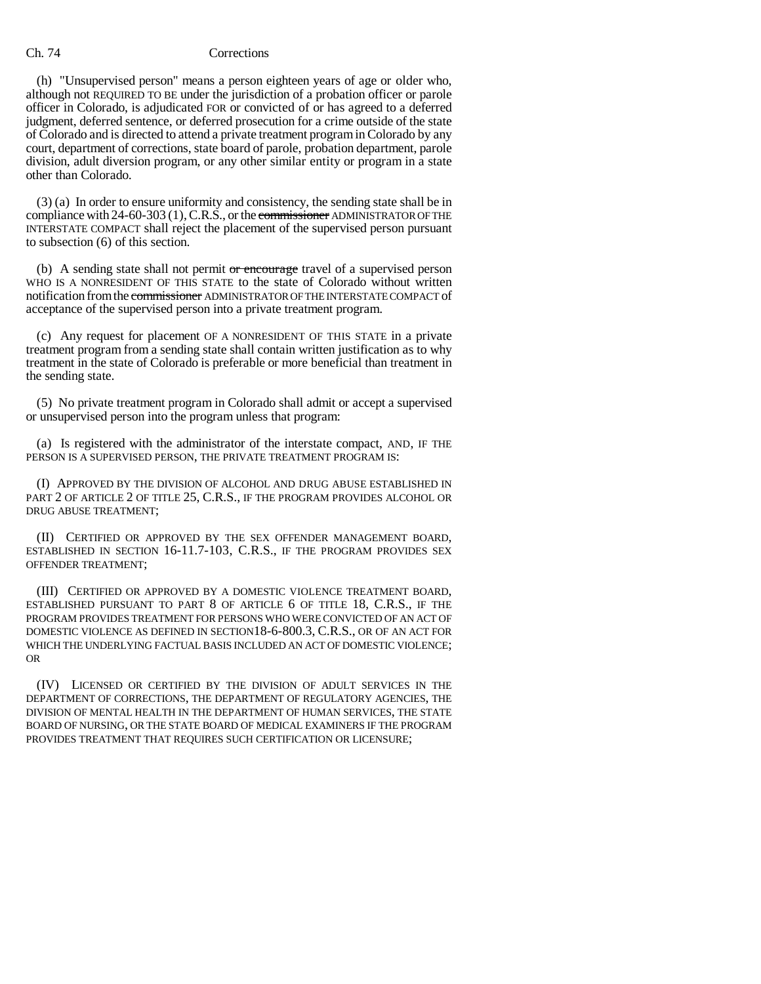## Ch. 74 Corrections

(h) "Unsupervised person" means a person eighteen years of age or older who, although not REQUIRED TO BE under the jurisdiction of a probation officer or parole officer in Colorado, is adjudicated FOR or convicted of or has agreed to a deferred judgment, deferred sentence, or deferred prosecution for a crime outside of the state of Colorado and is directed to attend a private treatment program in Colorado by any court, department of corrections, state board of parole, probation department, parole division, adult diversion program, or any other similar entity or program in a state other than Colorado.

(3) (a) In order to ensure uniformity and consistency, the sending state shall be in compliance with 24-60-303 (1), C.R.S., or the commissioner ADMINISTRATOR OF THE INTERSTATE COMPACT shall reject the placement of the supervised person pursuant to subsection (6) of this section.

(b) A sending state shall not permit or encourage travel of a supervised person WHO IS A NONRESIDENT OF THIS STATE to the state of Colorado without written notification from the commissioner ADMINISTRATOR OF THE INTERSTATE COMPACT of acceptance of the supervised person into a private treatment program.

(c) Any request for placement OF A NONRESIDENT OF THIS STATE in a private treatment program from a sending state shall contain written justification as to why treatment in the state of Colorado is preferable or more beneficial than treatment in the sending state.

(5) No private treatment program in Colorado shall admit or accept a supervised or unsupervised person into the program unless that program:

(a) Is registered with the administrator of the interstate compact, AND, IF THE PERSON IS A SUPERVISED PERSON, THE PRIVATE TREATMENT PROGRAM IS:

(I) APPROVED BY THE DIVISION OF ALCOHOL AND DRUG ABUSE ESTABLISHED IN PART 2 OF ARTICLE 2 OF TITLE 25, C.R.S., IF THE PROGRAM PROVIDES ALCOHOL OR DRUG ABUSE TREATMENT;

(II) CERTIFIED OR APPROVED BY THE SEX OFFENDER MANAGEMENT BOARD, ESTABLISHED IN SECTION 16-11.7-103, C.R.S., IF THE PROGRAM PROVIDES SEX OFFENDER TREATMENT;

(III) CERTIFIED OR APPROVED BY A DOMESTIC VIOLENCE TREATMENT BOARD, ESTABLISHED PURSUANT TO PART 8 OF ARTICLE 6 OF TITLE 18, C.R.S., IF THE PROGRAM PROVIDES TREATMENT FOR PERSONS WHO WERE CONVICTED OF AN ACT OF DOMESTIC VIOLENCE AS DEFINED IN SECTION18-6-800.3, C.R.S., OR OF AN ACT FOR WHICH THE UNDERLYING FACTUAL BASIS INCLUDED AN ACT OF DOMESTIC VIOLENCE; OR

(IV) LICENSED OR CERTIFIED BY THE DIVISION OF ADULT SERVICES IN THE DEPARTMENT OF CORRECTIONS, THE DEPARTMENT OF REGULATORY AGENCIES, THE DIVISION OF MENTAL HEALTH IN THE DEPARTMENT OF HUMAN SERVICES, THE STATE BOARD OF NURSING, OR THE STATE BOARD OF MEDICAL EXAMINERS IF THE PROGRAM PROVIDES TREATMENT THAT REQUIRES SUCH CERTIFICATION OR LICENSURE;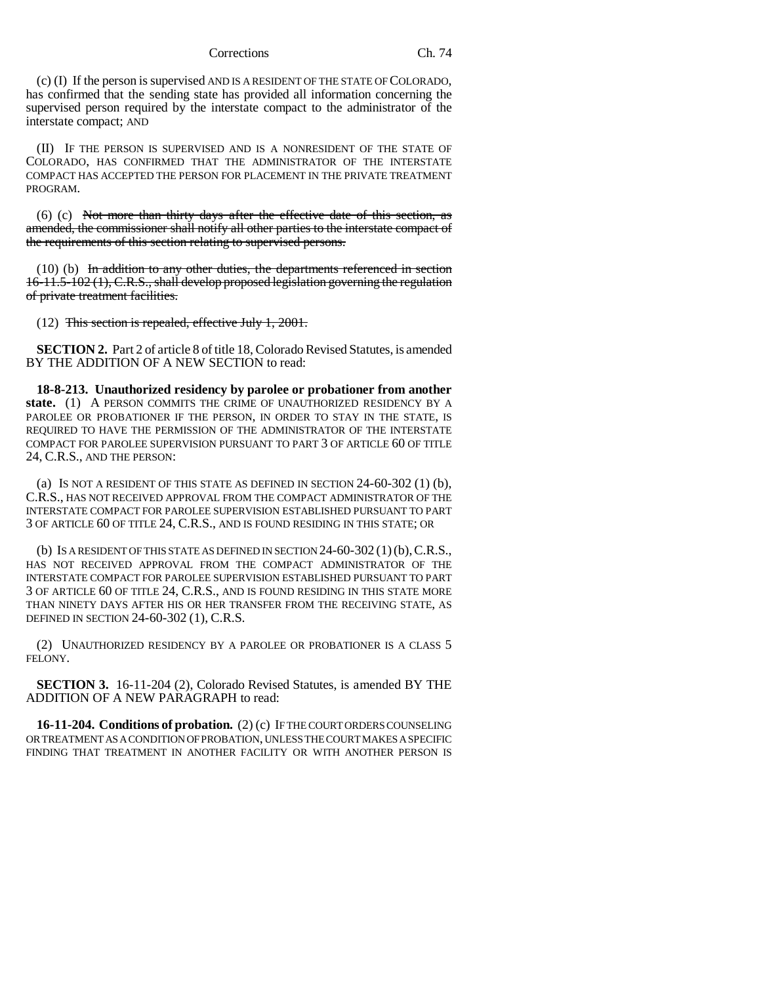Corrections Ch. 74

(c) (I) If the person is supervised AND IS A RESIDENT OF THE STATE OF COLORADO, has confirmed that the sending state has provided all information concerning the supervised person required by the interstate compact to the administrator of the interstate compact; AND

(II) IF THE PERSON IS SUPERVISED AND IS A NONRESIDENT OF THE STATE OF COLORADO, HAS CONFIRMED THAT THE ADMINISTRATOR OF THE INTERSTATE COMPACT HAS ACCEPTED THE PERSON FOR PLACEMENT IN THE PRIVATE TREATMENT PROGRAM.

 $(6)$  (c) Not more than thirty days after the effective date of this section, as amended, the commissioner shall notify all other parties to the interstate compact of the requirements of this section relating to supervised persons.

 $(10)$  (b) In addition to any other duties, the departments referenced in section 16-11.5-102 (1), C.R.S., shall develop proposed legislation governing the regulation of private treatment facilities.

(12) This section is repealed, effective July 1, 2001.

**SECTION 2.** Part 2 of article 8 of title 18, Colorado Revised Statutes, is amended BY THE ADDITION OF A NEW SECTION to read:

**18-8-213. Unauthorized residency by parolee or probationer from another state.** (1) A PERSON COMMITS THE CRIME OF UNAUTHORIZED RESIDENCY BY A PAROLEE OR PROBATIONER IF THE PERSON, IN ORDER TO STAY IN THE STATE, IS REQUIRED TO HAVE THE PERMISSION OF THE ADMINISTRATOR OF THE INTERSTATE COMPACT FOR PAROLEE SUPERVISION PURSUANT TO PART 3 OF ARTICLE 60 OF TITLE 24, C.R.S., AND THE PERSON:

(a) IS NOT A RESIDENT OF THIS STATE AS DEFINED IN SECTION 24-60-302 (1) (b), C.R.S., HAS NOT RECEIVED APPROVAL FROM THE COMPACT ADMINISTRATOR OF THE INTERSTATE COMPACT FOR PAROLEE SUPERVISION ESTABLISHED PURSUANT TO PART 3 OF ARTICLE 60 OF TITLE 24, C.R.S., AND IS FOUND RESIDING IN THIS STATE; OR

(b) IS A RESIDENT OF THIS STATE AS DEFINED IN SECTION  $24-60-302(1)$  (b),  $C.R.S.,$ HAS NOT RECEIVED APPROVAL FROM THE COMPACT ADMINISTRATOR OF THE INTERSTATE COMPACT FOR PAROLEE SUPERVISION ESTABLISHED PURSUANT TO PART 3 OF ARTICLE 60 OF TITLE 24, C.R.S., AND IS FOUND RESIDING IN THIS STATE MORE THAN NINETY DAYS AFTER HIS OR HER TRANSFER FROM THE RECEIVING STATE, AS DEFINED IN SECTION 24-60-302 (1), C.R.S.

(2) UNAUTHORIZED RESIDENCY BY A PAROLEE OR PROBATIONER IS A CLASS 5 FELONY.

**SECTION 3.** 16-11-204 (2), Colorado Revised Statutes, is amended BY THE ADDITION OF A NEW PARAGRAPH to read:

**16-11-204. Conditions of probation.** (2) (c) IF THE COURT ORDERS COUNSELING OR TREATMENT AS A CONDITION OF PROBATION, UNLESS THE COURT MAKES A SPECIFIC FINDING THAT TREATMENT IN ANOTHER FACILITY OR WITH ANOTHER PERSON IS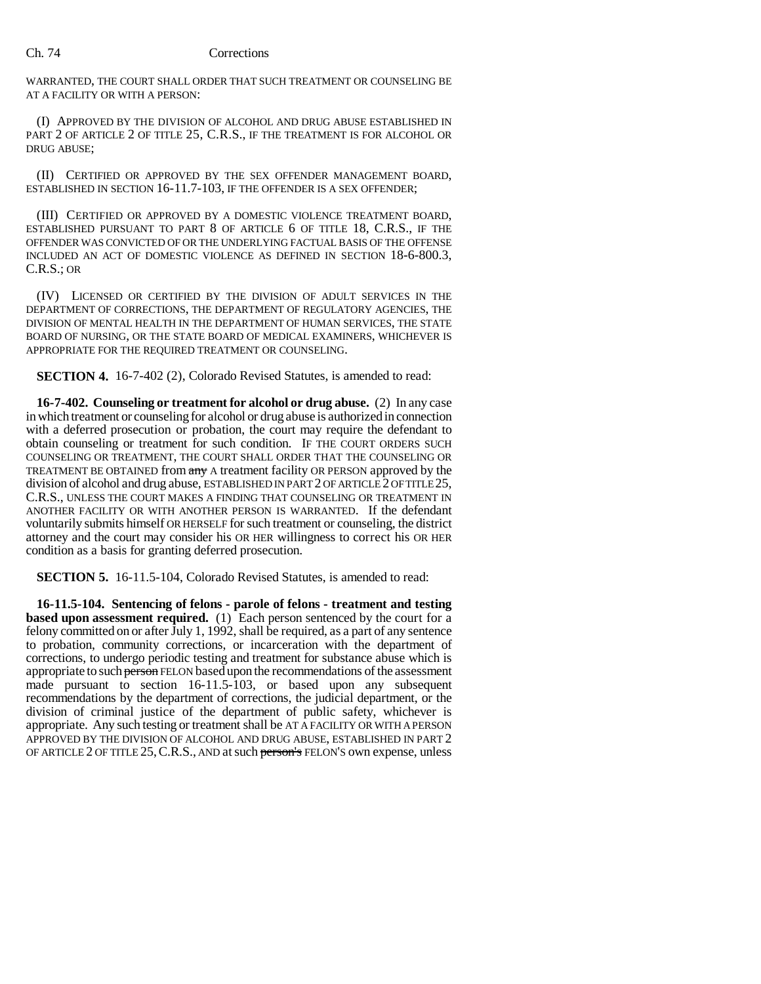### Ch. 74 Corrections

WARRANTED, THE COURT SHALL ORDER THAT SUCH TREATMENT OR COUNSELING BE AT A FACILITY OR WITH A PERSON:

(I) APPROVED BY THE DIVISION OF ALCOHOL AND DRUG ABUSE ESTABLISHED IN PART 2 OF ARTICLE 2 OF TITLE 25, C.R.S., IF THE TREATMENT IS FOR ALCOHOL OR DRUG ABUSE;

(II) CERTIFIED OR APPROVED BY THE SEX OFFENDER MANAGEMENT BOARD, ESTABLISHED IN SECTION 16-11.7-103, IF THE OFFENDER IS A SEX OFFENDER;

(III) CERTIFIED OR APPROVED BY A DOMESTIC VIOLENCE TREATMENT BOARD, ESTABLISHED PURSUANT TO PART 8 OF ARTICLE 6 OF TITLE 18, C.R.S., IF THE OFFENDER WAS CONVICTED OF OR THE UNDERLYING FACTUAL BASIS OF THE OFFENSE INCLUDED AN ACT OF DOMESTIC VIOLENCE AS DEFINED IN SECTION 18-6-800.3, C.R.S.; OR

(IV) LICENSED OR CERTIFIED BY THE DIVISION OF ADULT SERVICES IN THE DEPARTMENT OF CORRECTIONS, THE DEPARTMENT OF REGULATORY AGENCIES, THE DIVISION OF MENTAL HEALTH IN THE DEPARTMENT OF HUMAN SERVICES, THE STATE BOARD OF NURSING, OR THE STATE BOARD OF MEDICAL EXAMINERS, WHICHEVER IS APPROPRIATE FOR THE REQUIRED TREATMENT OR COUNSELING.

**SECTION 4.** 16-7-402 (2), Colorado Revised Statutes, is amended to read:

**16-7-402. Counseling or treatment for alcohol or drug abuse.** (2) In any case in which treatment or counseling for alcohol or drug abuse is authorized in connection with a deferred prosecution or probation, the court may require the defendant to obtain counseling or treatment for such condition. IF THE COURT ORDERS SUCH COUNSELING OR TREATMENT, THE COURT SHALL ORDER THAT THE COUNSELING OR TREATMENT BE OBTAINED from any A treatment facility OR PERSON approved by the division of alcohol and drug abuse, ESTABLISHED IN PART 2 OF ARTICLE 2 OF TITLE 25, C.R.S., UNLESS THE COURT MAKES A FINDING THAT COUNSELING OR TREATMENT IN ANOTHER FACILITY OR WITH ANOTHER PERSON IS WARRANTED. If the defendant voluntarily submits himself OR HERSELF for such treatment or counseling, the district attorney and the court may consider his OR HER willingness to correct his OR HER condition as a basis for granting deferred prosecution.

**SECTION 5.** 16-11.5-104, Colorado Revised Statutes, is amended to read:

**16-11.5-104. Sentencing of felons - parole of felons - treatment and testing based upon assessment required.** (1) Each person sentenced by the court for a felony committed on or after July 1, 1992, shall be required, as a part of any sentence to probation, community corrections, or incarceration with the department of corrections, to undergo periodic testing and treatment for substance abuse which is appropriate to such person FELON based upon the recommendations of the assessment made pursuant to section 16-11.5-103, or based upon any subsequent recommendations by the department of corrections, the judicial department, or the division of criminal justice of the department of public safety, whichever is appropriate. Any such testing or treatment shall be AT A FACILITY OR WITH A PERSON APPROVED BY THE DIVISION OF ALCOHOL AND DRUG ABUSE, ESTABLISHED IN PART 2 OF ARTICLE 2 OF TITLE 25, C.R.S., AND at such person's FELON'S own expense, unless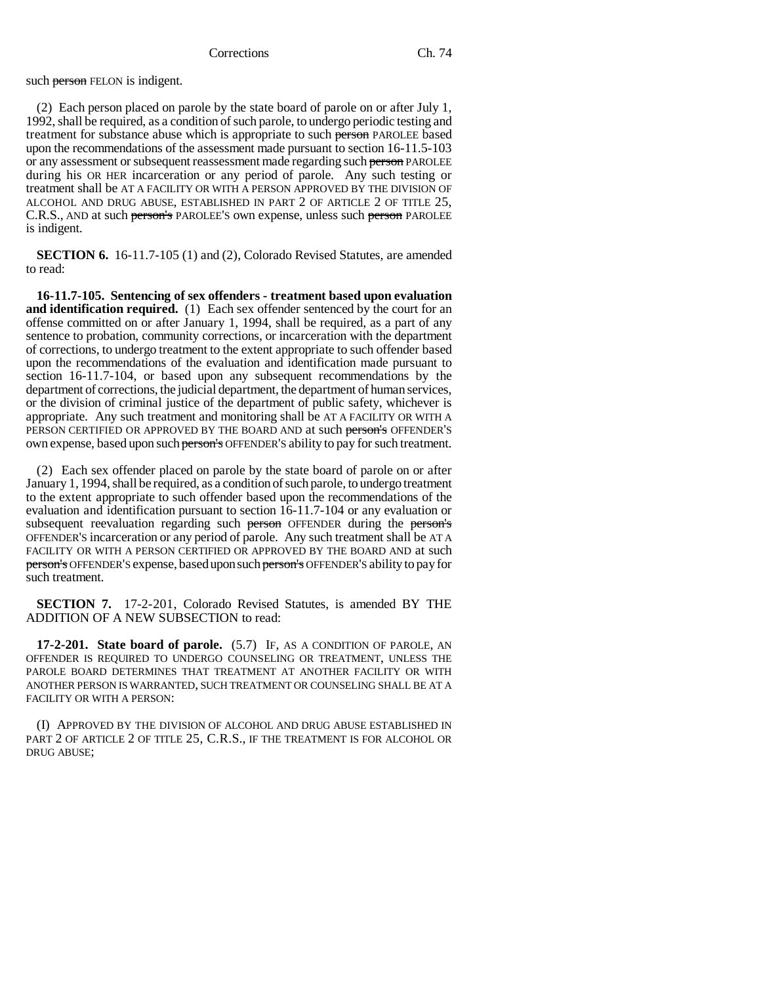such person FELON is indigent.

(2) Each person placed on parole by the state board of parole on or after July 1, 1992, shall be required, as a condition of such parole, to undergo periodic testing and treatment for substance abuse which is appropriate to such person PAROLEE based upon the recommendations of the assessment made pursuant to section 16-11.5-103 or any assessment or subsequent reassessment made regarding such person PAROLEE during his OR HER incarceration or any period of parole. Any such testing or treatment shall be AT A FACILITY OR WITH A PERSON APPROVED BY THE DIVISION OF ALCOHOL AND DRUG ABUSE, ESTABLISHED IN PART 2 OF ARTICLE 2 OF TITLE 25, C.R.S., AND at such person's PAROLEE'S own expense, unless such person PAROLEE is indigent.

**SECTION 6.** 16-11.7-105 (1) and (2), Colorado Revised Statutes, are amended to read:

**16-11.7-105. Sentencing of sex offenders - treatment based upon evaluation and identification required.** (1) Each sex offender sentenced by the court for an offense committed on or after January 1, 1994, shall be required, as a part of any sentence to probation, community corrections, or incarceration with the department of corrections, to undergo treatment to the extent appropriate to such offender based upon the recommendations of the evaluation and identification made pursuant to section 16-11.7-104, or based upon any subsequent recommendations by the department of corrections, the judicial department, the department of human services, or the division of criminal justice of the department of public safety, whichever is appropriate. Any such treatment and monitoring shall be AT A FACILITY OR WITH A PERSON CERTIFIED OR APPROVED BY THE BOARD AND at such person's OFFENDER'S own expense, based upon such person's OFFENDER'S ability to pay for such treatment.

(2) Each sex offender placed on parole by the state board of parole on or after January 1, 1994, shall be required, as a condition of such parole, to undergo treatment to the extent appropriate to such offender based upon the recommendations of the evaluation and identification pursuant to section 16-11.7-104 or any evaluation or subsequent reevaluation regarding such person OFFENDER during the person's OFFENDER'S incarceration or any period of parole. Any such treatment shall be AT A FACILITY OR WITH A PERSON CERTIFIED OR APPROVED BY THE BOARD AND at such person's OFFENDER'S expense, based upon such person's OFFENDER'S ability to pay for such treatment.

**SECTION 7.** 17-2-201, Colorado Revised Statutes, is amended BY THE ADDITION OF A NEW SUBSECTION to read:

**17-2-201. State board of parole.** (5.7) IF, AS A CONDITION OF PAROLE, AN OFFENDER IS REQUIRED TO UNDERGO COUNSELING OR TREATMENT, UNLESS THE PAROLE BOARD DETERMINES THAT TREATMENT AT ANOTHER FACILITY OR WITH ANOTHER PERSON IS WARRANTED, SUCH TREATMENT OR COUNSELING SHALL BE AT A FACILITY OR WITH A PERSON:

(I) APPROVED BY THE DIVISION OF ALCOHOL AND DRUG ABUSE ESTABLISHED IN PART 2 OF ARTICLE 2 OF TITLE 25, C.R.S., IF THE TREATMENT IS FOR ALCOHOL OR DRUG ABUSE;